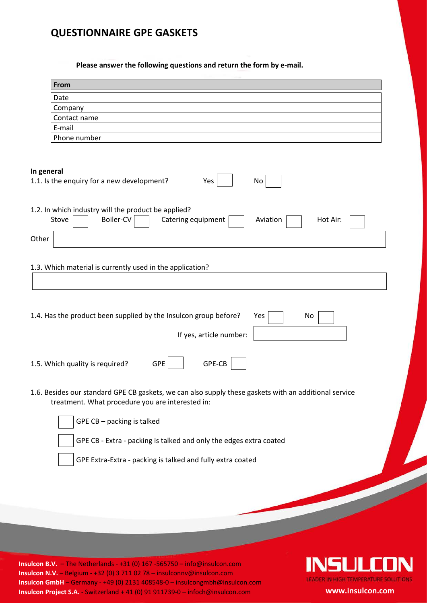## **QUESTIONNAIRE GPE GASKETS**

**Please answer the following questions and return the form by e-mail.**

| From                                                                      |                                                                                                                                                           |
|---------------------------------------------------------------------------|-----------------------------------------------------------------------------------------------------------------------------------------------------------|
| Date                                                                      |                                                                                                                                                           |
| Company                                                                   |                                                                                                                                                           |
| Contact name                                                              |                                                                                                                                                           |
| E-mail                                                                    |                                                                                                                                                           |
| Phone number                                                              |                                                                                                                                                           |
| In general<br>1.1. Is the enquiry for a new development?                  | Yes<br>No                                                                                                                                                 |
| 1.2. In which industry will the product be applied?<br>Boiler-CV<br>Stove | Catering equipment<br>Aviation<br>Hot Air:                                                                                                                |
| Other                                                                     |                                                                                                                                                           |
|                                                                           | 1.3. Which material is currently used in the application?<br>1.4. Has the product been supplied by the Insulcon group before?<br>Yes<br>No                |
|                                                                           | If yes, article number:                                                                                                                                   |
| 1.5. Which quality is required?                                           | GPE-CB<br><b>GPE</b>                                                                                                                                      |
|                                                                           | 1.6. Besides our standard GPE CB gaskets, we can also supply these gaskets with an additional service<br>treatment. What procedure you are interested in: |
| GPE CB - packing is talked                                                |                                                                                                                                                           |
|                                                                           | GPE CB - Extra - packing is talked and only the edges extra coated                                                                                        |
|                                                                           | GPE Extra-Extra - packing is talked and fully extra coated                                                                                                |
|                                                                           |                                                                                                                                                           |

**Insulcon B.V.** – The Netherlands - +31 (0) 167 -565750 – info@insulcon.com **Insulcon N.V.** – Belgium - +32 (0) 3 711 02 78 – insulconnv@insulcon.com **Insulcon GmbH** – Germany - +49 (0) 2131 408548-0 – insulcongmbh@insulcon.com **Insulcon Project S.A.** - Switzerland + 41 (0) 91 911739-0 – infoch@insulcon.com **www.insulcon.com**